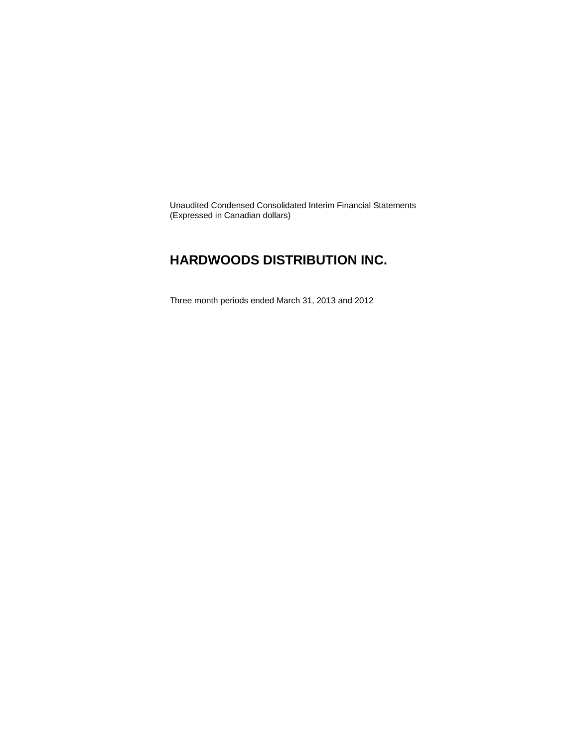Unaudited Condensed Consolidated Interim Financial Statements (Expressed in Canadian dollars)

### **HARDWOODS DISTRIBUTION INC.**

Three month periods ended March 31, 2013 and 2012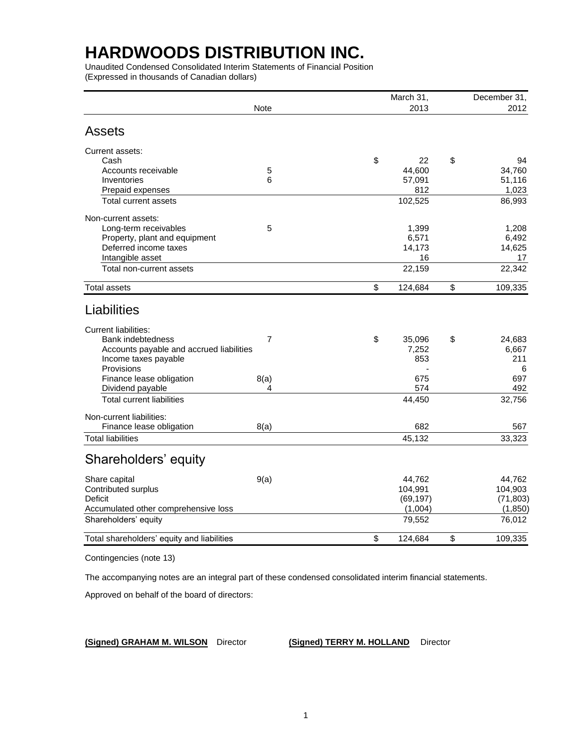Unaudited Condensed Consolidated Interim Statements of Financial Position (Expressed in thousands of Canadian dollars)

|                                            |                | March 31,     | December 31,  |
|--------------------------------------------|----------------|---------------|---------------|
|                                            | <b>Note</b>    | 2013          | 2012          |
| <b>Assets</b>                              |                |               |               |
| Current assets:                            |                |               |               |
| Cash                                       |                | \$<br>22      | \$<br>94      |
| Accounts receivable                        | 5              | 44,600        | 34,760        |
| Inventories                                | 6              | 57,091        | 51,116        |
| Prepaid expenses                           |                | 812           | 1,023         |
| Total current assets                       |                | 102,525       | 86,993        |
| Non-current assets:                        |                |               |               |
| Long-term receivables                      | 5              | 1,399         | 1,208         |
| Property, plant and equipment              |                | 6,571         | 6,492         |
| Deferred income taxes                      |                | 14,173        | 14,625        |
| Intangible asset                           |                | 16            | 17            |
| Total non-current assets                   |                | 22,159        | 22,342        |
| <b>Total assets</b>                        |                | \$<br>124,684 | \$<br>109,335 |
| Liabilities                                |                |               |               |
| <b>Current liabilities:</b>                |                |               |               |
| <b>Bank indebtedness</b>                   | $\overline{7}$ | \$<br>35,096  | \$<br>24,683  |
| Accounts payable and accrued liabilities   |                | 7,252         | 6,667         |
| Income taxes payable                       |                | 853           | 211           |
| Provisions                                 |                |               | 6             |
| Finance lease obligation                   | 8(a)           | 675           | 697           |
| Dividend payable                           | 4              | 574           | 492           |
| <b>Total current liabilities</b>           |                | 44,450        | 32,756        |
| Non-current liabilities:                   |                |               |               |
| Finance lease obligation                   | 8(a)           | 682           | 567           |
| <b>Total liabilities</b>                   |                | 45,132        | 33,323        |
| Shareholders' equity                       |                |               |               |
| Share capital                              | 9(a)           | 44,762        | 44,762        |
| Contributed surplus                        |                | 104,991       | 104,903       |
| Deficit                                    |                | (69, 197)     | (71, 803)     |
| Accumulated other comprehensive loss       |                | (1,004)       | (1,850)       |
| Shareholders' equity                       |                | 79,552        | 76,012        |
| Total shareholders' equity and liabilities |                | \$<br>124,684 | \$<br>109,335 |
|                                            |                |               |               |

Contingencies (note 13)

The accompanying notes are an integral part of these condensed consolidated interim financial statements.

Approved on behalf of the board of directors:

**(Signed) GRAHAM M. WILSON** Director **(Signed) TERRY M. HOLLAND** Director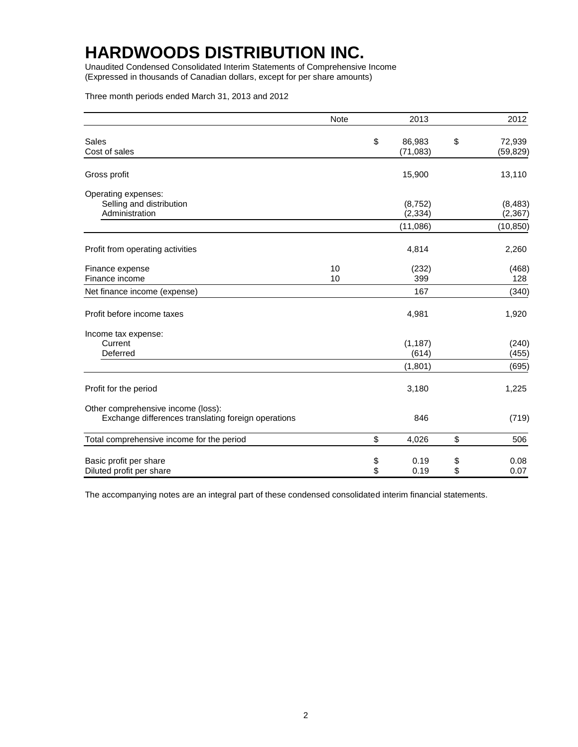Unaudited Condensed Consolidated Interim Statements of Comprehensive Income (Expressed in thousands of Canadian dollars, except for per share amounts)

Three month periods ended March 31, 2013 and 2012

|                                                                                           | <b>Note</b> |          | 2013                 |          | 2012                 |
|-------------------------------------------------------------------------------------------|-------------|----------|----------------------|----------|----------------------|
| Sales<br>Cost of sales                                                                    |             | \$       | 86,983<br>(71, 083)  | \$       | 72,939<br>(59, 829)  |
| Gross profit                                                                              |             |          | 15,900               |          | 13,110               |
| Operating expenses:<br>Selling and distribution<br>Administration                         |             |          | (8, 752)<br>(2, 334) |          | (8, 483)<br>(2, 367) |
|                                                                                           |             |          | (11,086)             |          | (10, 850)            |
| Profit from operating activities                                                          |             |          | 4,814                |          | 2,260                |
| Finance expense<br>Finance income                                                         | 10<br>10    |          | (232)<br>399         |          | (468)<br>128         |
| Net finance income (expense)                                                              |             |          | 167                  |          | (340)                |
| Profit before income taxes                                                                |             |          | 4,981                |          | 1,920                |
| Income tax expense:<br>Current<br>Deferred                                                |             |          | (1, 187)<br>(614)    |          | (240)<br>(455)       |
|                                                                                           |             |          | (1,801)              |          | (695)                |
| Profit for the period                                                                     |             |          | 3,180                |          | 1,225                |
| Other comprehensive income (loss):<br>Exchange differences translating foreign operations |             |          | 846                  |          | (719)                |
| Total comprehensive income for the period                                                 |             | \$       | 4,026                | \$       | 506                  |
| Basic profit per share<br>Diluted profit per share                                        |             | \$<br>\$ | 0.19<br>0.19         | \$<br>\$ | 0.08<br>0.07         |

The accompanying notes are an integral part of these condensed consolidated interim financial statements.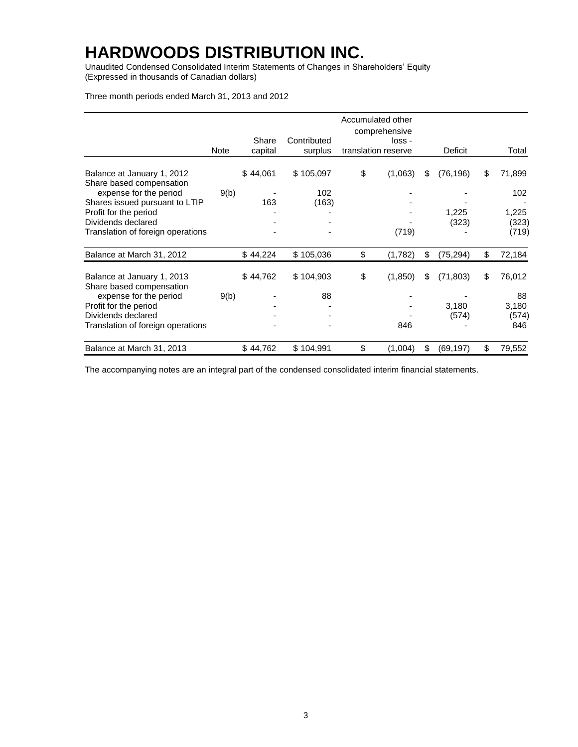Unaudited Condensed Consolidated Interim Statements of Changes in Shareholders' Equity (Expressed in thousands of Canadian dollars)

Three month periods ended March 31, 2013 and 2012

|                                                         |      |                  |                        | Accumulated other<br>comprehensive |                 |              |
|---------------------------------------------------------|------|------------------|------------------------|------------------------------------|-----------------|--------------|
|                                                         | Note | Share<br>capital | Contributed<br>surplus | loss -<br>translation reserve      | Deficit         | Total        |
| Balance at January 1, 2012<br>Share based compensation  |      | \$44,061         | \$105,097              | \$<br>(1,063)                      | \$<br>(76, 196) | \$<br>71,899 |
| expense for the period                                  | 9(b) |                  | 102                    |                                    |                 | 102          |
| Shares issued pursuant to LTIP<br>Profit for the period |      | 163              | (163)                  |                                    | 1,225           | 1,225        |
| Dividends declared                                      |      |                  |                        |                                    | (323)           | (323)        |
| Translation of foreign operations                       |      |                  |                        | (719)                              |                 | (719)        |
| Balance at March 31, 2012                               |      | \$44,224         | \$105,036              | \$<br>(1,782)                      | \$<br>(75, 294) | \$<br>72,184 |
| Balance at January 1, 2013<br>Share based compensation  |      | \$44,762         | \$104,903              | \$<br>(1,850)                      | \$<br>(71, 803) | \$<br>76,012 |
| expense for the period                                  | 9(b) |                  | 88                     |                                    |                 | 88           |
| Profit for the period                                   |      |                  |                        |                                    | 3,180           | 3,180        |
| Dividends declared                                      |      |                  |                        |                                    | (574)           | (574)        |
| Translation of foreign operations                       |      |                  |                        | 846                                |                 | 846          |
| Balance at March 31, 2013                               |      | \$44,762         | \$104,991              | \$<br>(1,004)                      | \$<br>(69, 197) | \$<br>79,552 |

The accompanying notes are an integral part of the condensed consolidated interim financial statements.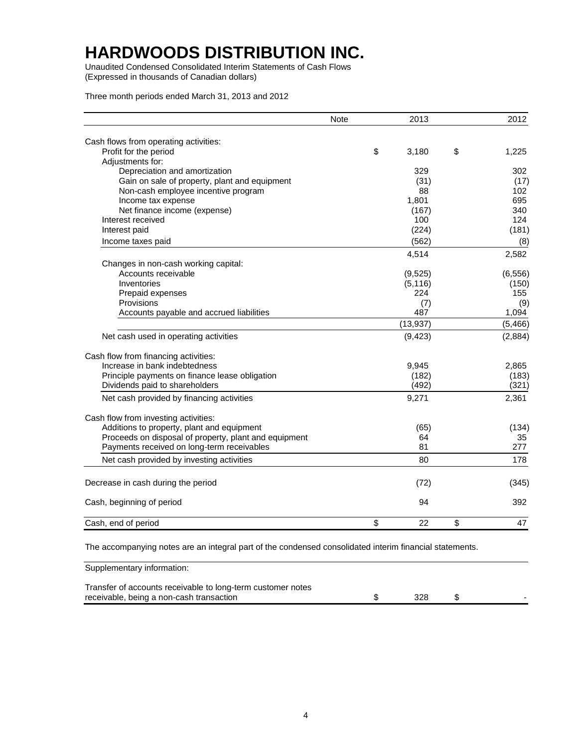Unaudited Condensed Consolidated Interim Statements of Cash Flows (Expressed in thousands of Canadian dollars)

Three month periods ended March 31, 2013 and 2012

|                                                       | <b>Note</b> | 2013        | 2012        |
|-------------------------------------------------------|-------------|-------------|-------------|
| Cash flows from operating activities:                 |             |             |             |
| Profit for the period                                 |             | \$<br>3,180 | \$<br>1,225 |
| Adjustments for:                                      |             |             |             |
| Depreciation and amortization                         |             | 329         | 302         |
| Gain on sale of property, plant and equipment         |             | (31)        | (17)        |
| Non-cash employee incentive program                   |             | 88          | 102         |
| Income tax expense                                    |             | 1,801       | 695         |
| Net finance income (expense)                          |             | (167)       | 340         |
| Interest received                                     |             | 100         | 124         |
| Interest paid                                         |             | (224)       | (181)       |
| Income taxes paid                                     |             | (562)       | (8)         |
|                                                       |             | 4,514       | 2,582       |
| Changes in non-cash working capital:                  |             |             |             |
| Accounts receivable                                   |             | (9, 525)    | (6, 556)    |
| Inventories                                           |             | (5, 116)    | (150)       |
| Prepaid expenses                                      |             | 224         | 155         |
| Provisions                                            |             | (7)         | (9)         |
| Accounts payable and accrued liabilities              |             | 487         | 1,094       |
|                                                       |             | (13, 937)   | (5, 466)    |
| Net cash used in operating activities                 |             | (9, 423)    | (2,884)     |
| Cash flow from financing activities:                  |             |             |             |
| Increase in bank indebtedness                         |             | 9,945       | 2,865       |
| Principle payments on finance lease obligation        |             | (182)       | (183)       |
| Dividends paid to shareholders                        |             | (492)       | (321)       |
| Net cash provided by financing activities             |             | 9,271       | 2,361       |
| Cash flow from investing activities:                  |             |             |             |
| Additions to property, plant and equipment            |             | (65)        | (134)       |
| Proceeds on disposal of property, plant and equipment |             | 64          | 35          |
| Payments received on long-term receivables            |             | 81          | 277         |
| Net cash provided by investing activities             |             | 80          | 178         |
| Decrease in cash during the period                    |             | (72)        | (345)       |
|                                                       |             |             |             |
| Cash, beginning of period                             |             | 94          | 392         |
| Cash, end of period                                   |             | \$<br>22    | \$<br>47    |

The accompanying notes are an integral part of the condensed consolidated interim financial statements.

Supplementary information:

| Transfer of accounts receivable to long-term customer notes |     |  |
|-------------------------------------------------------------|-----|--|
| receivable, being a non-cash transaction                    | 328 |  |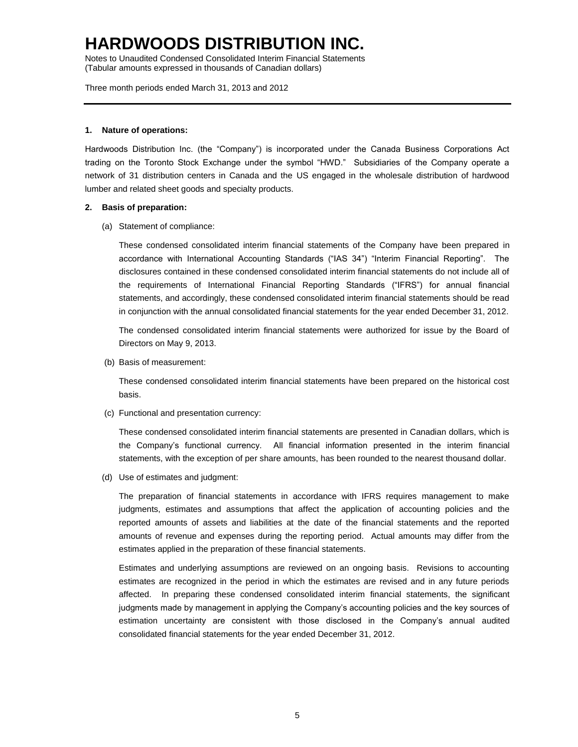Notes to Unaudited Condensed Consolidated Interim Financial Statements (Tabular amounts expressed in thousands of Canadian dollars)

Three month periods ended March 31, 2013 and 2012

#### **1. Nature of operations:**

Hardwoods Distribution Inc. (the "Company") is incorporated under the Canada Business Corporations Act trading on the Toronto Stock Exchange under the symbol "HWD." Subsidiaries of the Company operate a network of 31 distribution centers in Canada and the US engaged in the wholesale distribution of hardwood lumber and related sheet goods and specialty products.

#### **2. Basis of preparation:**

(a) Statement of compliance:

These condensed consolidated interim financial statements of the Company have been prepared in accordance with International Accounting Standards ("IAS 34") "Interim Financial Reporting". The disclosures contained in these condensed consolidated interim financial statements do not include all of the requirements of International Financial Reporting Standards ("IFRS") for annual financial statements, and accordingly, these condensed consolidated interim financial statements should be read in conjunction with the annual consolidated financial statements for the year ended December 31, 2012.

The condensed consolidated interim financial statements were authorized for issue by the Board of Directors on May 9, 2013.

(b) Basis of measurement:

These condensed consolidated interim financial statements have been prepared on the historical cost basis.

(c) Functional and presentation currency:

These condensed consolidated interim financial statements are presented in Canadian dollars, which is the Company's functional currency. All financial information presented in the interim financial statements, with the exception of per share amounts, has been rounded to the nearest thousand dollar.

(d) Use of estimates and judgment:

The preparation of financial statements in accordance with IFRS requires management to make judgments, estimates and assumptions that affect the application of accounting policies and the reported amounts of assets and liabilities at the date of the financial statements and the reported amounts of revenue and expenses during the reporting period. Actual amounts may differ from the estimates applied in the preparation of these financial statements.

Estimates and underlying assumptions are reviewed on an ongoing basis. Revisions to accounting estimates are recognized in the period in which the estimates are revised and in any future periods affected. In preparing these condensed consolidated interim financial statements, the significant judgments made by management in applying the Company's accounting policies and the key sources of estimation uncertainty are consistent with those disclosed in the Company's annual audited consolidated financial statements for the year ended December 31, 2012.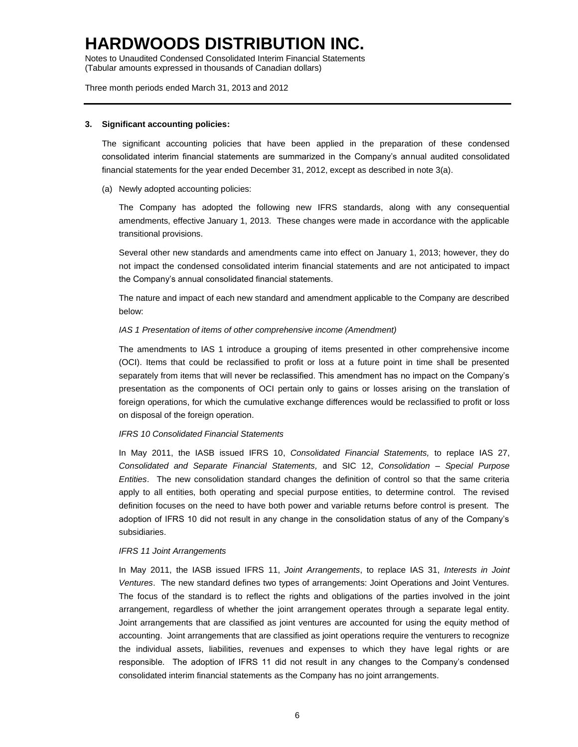Notes to Unaudited Condensed Consolidated Interim Financial Statements (Tabular amounts expressed in thousands of Canadian dollars)

Three month periods ended March 31, 2013 and 2012

#### **3. Significant accounting policies:**

The significant accounting policies that have been applied in the preparation of these condensed consolidated interim financial statements are summarized in the Company's annual audited consolidated financial statements for the year ended December 31, 2012, except as described in note 3(a).

(a) Newly adopted accounting policies:

The Company has adopted the following new IFRS standards, along with any consequential amendments, effective January 1, 2013. These changes were made in accordance with the applicable transitional provisions.

Several other new standards and amendments came into effect on January 1, 2013; however, they do not impact the condensed consolidated interim financial statements and are not anticipated to impact the Company's annual consolidated financial statements.

The nature and impact of each new standard and amendment applicable to the Company are described below:

#### *IAS 1 Presentation of items of other comprehensive income (Amendment)*

The amendments to IAS 1 introduce a grouping of items presented in other comprehensive income (OCI). Items that could be reclassified to profit or loss at a future point in time shall be presented separately from items that will never be reclassified. This amendment has no impact on the Company's presentation as the components of OCI pertain only to gains or losses arising on the translation of foreign operations, for which the cumulative exchange differences would be reclassified to profit or loss on disposal of the foreign operation.

#### *IFRS 10 Consolidated Financial Statements*

In May 2011, the IASB issued IFRS 10, *Consolidated Financial Statements,* to replace IAS 27, *Consolidated and Separate Financial Statements,* and SIC 12, *Consolidation – Special Purpose Entities*. The new consolidation standard changes the definition of control so that the same criteria apply to all entities, both operating and special purpose entities, to determine control. The revised definition focuses on the need to have both power and variable returns before control is present. The adoption of IFRS 10 did not result in any change in the consolidation status of any of the Company's subsidiaries.

#### *IFRS 11 Joint Arrangements*

In May 2011, the IASB issued IFRS 11, *Joint Arrangements*, to replace IAS 31, *Interests in Joint Ventures*. The new standard defines two types of arrangements: Joint Operations and Joint Ventures. The focus of the standard is to reflect the rights and obligations of the parties involved in the joint arrangement, regardless of whether the joint arrangement operates through a separate legal entity. Joint arrangements that are classified as joint ventures are accounted for using the equity method of accounting. Joint arrangements that are classified as joint operations require the venturers to recognize the individual assets, liabilities, revenues and expenses to which they have legal rights or are responsible. The adoption of IFRS 11 did not result in any changes to the Company's condensed consolidated interim financial statements as the Company has no joint arrangements.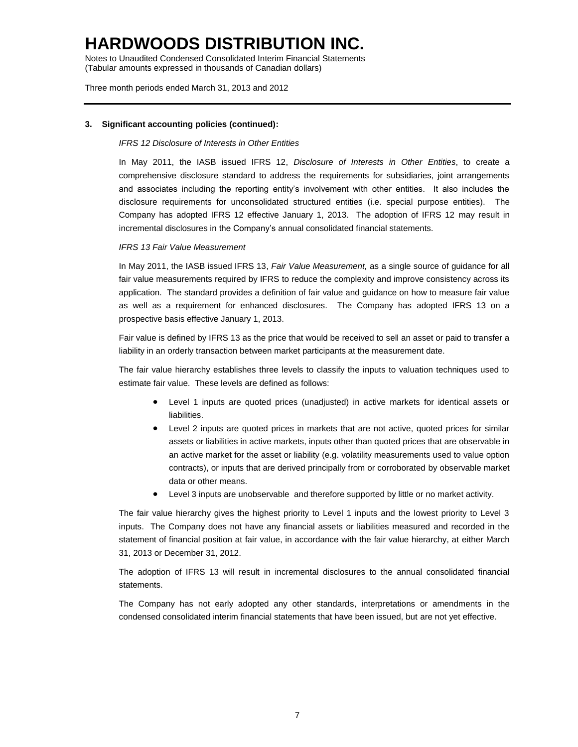Notes to Unaudited Condensed Consolidated Interim Financial Statements (Tabular amounts expressed in thousands of Canadian dollars)

Three month periods ended March 31, 2013 and 2012

### **3. Significant accounting policies (continued):**

### *IFRS 12 Disclosure of Interests in Other Entities*

In May 2011, the IASB issued IFRS 12, *Disclosure of Interests in Other Entities*, to create a comprehensive disclosure standard to address the requirements for subsidiaries, joint arrangements and associates including the reporting entity's involvement with other entities. It also includes the disclosure requirements for unconsolidated structured entities (i.e. special purpose entities). The Company has adopted IFRS 12 effective January 1, 2013. The adoption of IFRS 12 may result in incremental disclosures in the Company's annual consolidated financial statements.

### *IFRS 13 Fair Value Measurement*

In May 2011, the IASB issued IFRS 13, *Fair Value Measurement,* as a single source of guidance for all fair value measurements required by IFRS to reduce the complexity and improve consistency across its application. The standard provides a definition of fair value and guidance on how to measure fair value as well as a requirement for enhanced disclosures. The Company has adopted IFRS 13 on a prospective basis effective January 1, 2013.

Fair value is defined by IFRS 13 as the price that would be received to sell an asset or paid to transfer a liability in an orderly transaction between market participants at the measurement date.

The fair value hierarchy establishes three levels to classify the inputs to valuation techniques used to estimate fair value. These levels are defined as follows:

- Level 1 inputs are quoted prices (unadjusted) in active markets for identical assets or liabilities.
- Level 2 inputs are quoted prices in markets that are not active, quoted prices for similar assets or liabilities in active markets, inputs other than quoted prices that are observable in an active market for the asset or liability (e.g. volatility measurements used to value option contracts), or inputs that are derived principally from or corroborated by observable market data or other means.
- Level 3 inputs are unobservable and therefore supported by little or no market activity.

The fair value hierarchy gives the highest priority to Level 1 inputs and the lowest priority to Level 3 inputs. The Company does not have any financial assets or liabilities measured and recorded in the statement of financial position at fair value, in accordance with the fair value hierarchy, at either March 31, 2013 or December 31, 2012.

The adoption of IFRS 13 will result in incremental disclosures to the annual consolidated financial statements.

The Company has not early adopted any other standards, interpretations or amendments in the condensed consolidated interim financial statements that have been issued, but are not yet effective.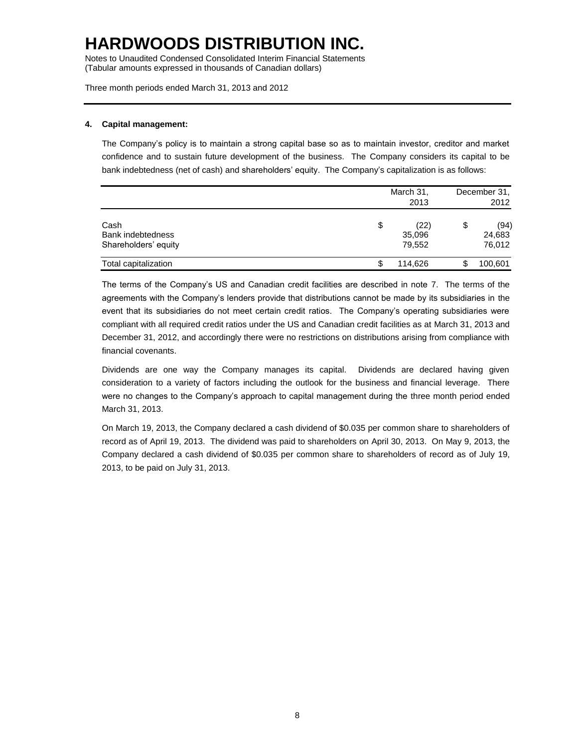Notes to Unaudited Condensed Consolidated Interim Financial Statements (Tabular amounts expressed in thousands of Canadian dollars)

Three month periods ended March 31, 2013 and 2012

### **4. Capital management:**

The Company's policy is to maintain a strong capital base so as to maintain investor, creditor and market confidence and to sustain future development of the business. The Company considers its capital to be bank indebtedness (net of cash) and shareholders' equity. The Company's capitalization is as follows:

|                                                   | March 31,<br>2013              |    | December 31,<br>2012     |
|---------------------------------------------------|--------------------------------|----|--------------------------|
| Cash<br>Bank indebtedness<br>Shareholders' equity | \$<br>(22)<br>35,096<br>79.552 | \$ | (94)<br>24,683<br>76,012 |
| Total capitalization                              | 114,626                        |    | 100,601                  |

The terms of the Company's US and Canadian credit facilities are described in note 7. The terms of the agreements with the Company's lenders provide that distributions cannot be made by its subsidiaries in the event that its subsidiaries do not meet certain credit ratios. The Company's operating subsidiaries were compliant with all required credit ratios under the US and Canadian credit facilities as at March 31, 2013 and December 31, 2012, and accordingly there were no restrictions on distributions arising from compliance with financial covenants.

Dividends are one way the Company manages its capital. Dividends are declared having given consideration to a variety of factors including the outlook for the business and financial leverage. There were no changes to the Company's approach to capital management during the three month period ended March 31, 2013.

On March 19, 2013, the Company declared a cash dividend of \$0.035 per common share to shareholders of record as of April 19, 2013. The dividend was paid to shareholders on April 30, 2013. On May 9, 2013, the Company declared a cash dividend of \$0.035 per common share to shareholders of record as of July 19, 2013, to be paid on July 31, 2013.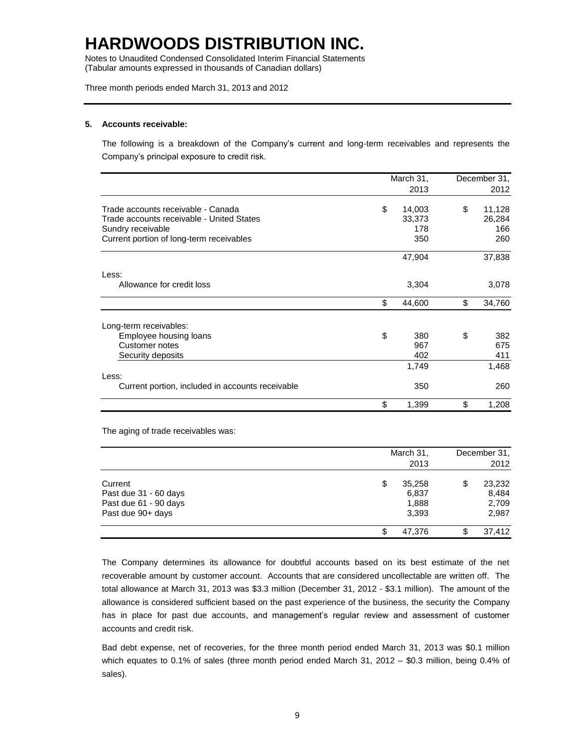Notes to Unaudited Condensed Consolidated Interim Financial Statements (Tabular amounts expressed in thousands of Canadian dollars)

Three month periods ended March 31, 2013 and 2012

#### **5. Accounts receivable:**

The following is a breakdown of the Company's current and long-term receivables and represents the Company's principal exposure to credit risk.

|                                                  | March 31, |        | December 31, |        |
|--------------------------------------------------|-----------|--------|--------------|--------|
|                                                  |           | 2013   |              | 2012   |
| Trade accounts receivable - Canada               | \$        | 14,003 | \$           | 11,128 |
| Trade accounts receivable - United States        |           | 33,373 |              | 26,284 |
| Sundry receivable                                |           | 178    |              | 166    |
| Current portion of long-term receivables         |           | 350    |              | 260    |
|                                                  |           | 47,904 |              | 37,838 |
| Less:                                            |           |        |              |        |
| Allowance for credit loss                        |           | 3,304  |              | 3,078  |
|                                                  | \$        | 44,600 | \$           | 34,760 |
| Long-term receivables:                           |           |        |              |        |
| Employee housing loans                           | \$        | 380    | \$           | 382    |
| Customer notes                                   |           | 967    |              | 675    |
| Security deposits                                |           | 402    |              | 411    |
|                                                  |           | 1,749  |              | 1,468  |
| Less:                                            |           |        |              |        |
| Current portion, included in accounts receivable |           | 350    |              | 260    |
|                                                  | \$        | 1,399  | \$           | 1,208  |

The aging of trade receivables was:

|                                                                                | March 31,<br>2013                       |    | December 31.<br>2012              |
|--------------------------------------------------------------------------------|-----------------------------------------|----|-----------------------------------|
| Current<br>Past due 31 - 60 days<br>Past due 61 - 90 days<br>Past due 90+ days | \$<br>35,258<br>6,837<br>1,888<br>3,393 | \$ | 23,232<br>8,484<br>2,709<br>2,987 |
|                                                                                | 47.376                                  | S  | 37,412                            |

The Company determines its allowance for doubtful accounts based on its best estimate of the net recoverable amount by customer account. Accounts that are considered uncollectable are written off. The total allowance at March 31, 2013 was \$3.3 million (December 31, 2012 - \$3.1 million). The amount of the allowance is considered sufficient based on the past experience of the business, the security the Company has in place for past due accounts, and management's regular review and assessment of customer accounts and credit risk.

Bad debt expense, net of recoveries, for the three month period ended March 31, 2013 was \$0.1 million which equates to 0.1% of sales (three month period ended March 31, 2012 – \$0.3 million, being 0.4% of sales).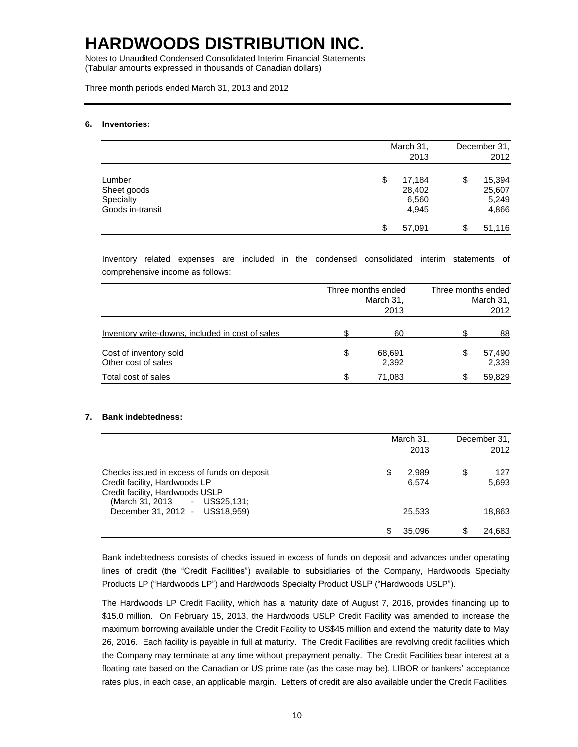Notes to Unaudited Condensed Consolidated Interim Financial Statements (Tabular amounts expressed in thousands of Canadian dollars)

Three month periods ended March 31, 2013 and 2012

#### **6. Inventories:**

|                                                        | March 31,<br>2013 |                                    | December 31,<br>2012 |                                    |
|--------------------------------------------------------|-------------------|------------------------------------|----------------------|------------------------------------|
| Lumber<br>Sheet goods<br>Specialty<br>Goods in-transit | \$                | 17,184<br>28,402<br>6,560<br>4,945 | \$                   | 15,394<br>25,607<br>5,249<br>4,866 |
|                                                        |                   | 57,091                             | \$                   | 51,116                             |

Inventory related expenses are included in the condensed consolidated interim statements of comprehensive income as follows:

|                                                  | Three months ended<br>March 31,<br>2013 | Three months ended<br>March 31,<br>2012 |                 |  |
|--------------------------------------------------|-----------------------------------------|-----------------------------------------|-----------------|--|
| Inventory write-downs, included in cost of sales | 60                                      |                                         | 88              |  |
| Cost of inventory sold<br>Other cost of sales    | \$<br>68,691<br>2,392                   | S                                       | 57,490<br>2,339 |  |
| Total cost of sales                              | \$<br>71.083                            | S                                       | 59,829          |  |

### **7. Bank indebtedness:**

|                                                                                                                                                   | March 31,<br>2013 |                | December 31, |              |
|---------------------------------------------------------------------------------------------------------------------------------------------------|-------------------|----------------|--------------|--------------|
| Checks issued in excess of funds on deposit<br>Credit facility, Hardwoods LP<br>Credit facility, Hardwoods USLP<br>(March 31, 2013 - US\$25, 131; | \$                | 2,989<br>6.574 | \$           | 127<br>5,693 |
| December 31, 2012 - US\$18,959)                                                                                                                   |                   | 25.533         |              | 18,863       |
|                                                                                                                                                   |                   | 35.096         | S.           | 24.683       |

Bank indebtedness consists of checks issued in excess of funds on deposit and advances under operating lines of credit (the "Credit Facilities") available to subsidiaries of the Company, Hardwoods Specialty Products LP ("Hardwoods LP") and Hardwoods Specialty Product USLP ("Hardwoods USLP").

The Hardwoods LP Credit Facility, which has a maturity date of August 7, 2016, provides financing up to \$15.0 million. On February 15, 2013, the Hardwoods USLP Credit Facility was amended to increase the maximum borrowing available under the Credit Facility to US\$45 million and extend the maturity date to May 26, 2016. Each facility is payable in full at maturity. The Credit Facilities are revolving credit facilities which the Company may terminate at any time without prepayment penalty. The Credit Facilities bear interest at a floating rate based on the Canadian or US prime rate (as the case may be), LIBOR or bankers' acceptance rates plus, in each case, an applicable margin. Letters of credit are also available under the Credit Facilities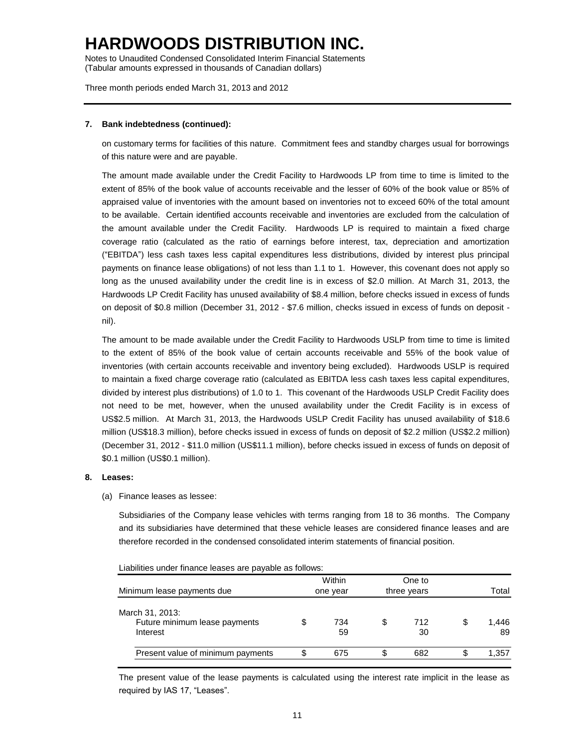Notes to Unaudited Condensed Consolidated Interim Financial Statements (Tabular amounts expressed in thousands of Canadian dollars)

Three month periods ended March 31, 2013 and 2012

### **7. Bank indebtedness (continued):**

on customary terms for facilities of this nature. Commitment fees and standby charges usual for borrowings of this nature were and are payable.

The amount made available under the Credit Facility to Hardwoods LP from time to time is limited to the extent of 85% of the book value of accounts receivable and the lesser of 60% of the book value or 85% of appraised value of inventories with the amount based on inventories not to exceed 60% of the total amount to be available. Certain identified accounts receivable and inventories are excluded from the calculation of the amount available under the Credit Facility. Hardwoods LP is required to maintain a fixed charge coverage ratio (calculated as the ratio of earnings before interest, tax, depreciation and amortization ("EBITDA") less cash taxes less capital expenditures less distributions, divided by interest plus principal payments on finance lease obligations) of not less than 1.1 to 1. However, this covenant does not apply so long as the unused availability under the credit line is in excess of \$2.0 million. At March 31, 2013, the Hardwoods LP Credit Facility has unused availability of \$8.4 million, before checks issued in excess of funds on deposit of \$0.8 million (December 31, 2012 - \$7.6 million, checks issued in excess of funds on deposit nil).

The amount to be made available under the Credit Facility to Hardwoods USLP from time to time is limited to the extent of 85% of the book value of certain accounts receivable and 55% of the book value of inventories (with certain accounts receivable and inventory being excluded). Hardwoods USLP is required to maintain a fixed charge coverage ratio (calculated as EBITDA less cash taxes less capital expenditures, divided by interest plus distributions) of 1.0 to 1. This covenant of the Hardwoods USLP Credit Facility does not need to be met, however, when the unused availability under the Credit Facility is in excess of US\$2.5 million. At March 31, 2013, the Hardwoods USLP Credit Facility has unused availability of \$18.6 million (US\$18.3 million), before checks issued in excess of funds on deposit of \$2.2 million (US\$2.2 million) (December 31, 2012 - \$11.0 million (US\$11.1 million), before checks issued in excess of funds on deposit of \$0.1 million (US\$0.1 million).

#### **8. Leases:**

(a) Finance leases as lessee:

Subsidiaries of the Company lease vehicles with terms ranging from 18 to 36 months. The Company and its subsidiaries have determined that these vehicle leases are considered finance leases and are therefore recorded in the condensed consolidated interim statements of financial position.

| Liabilities under finance leases are payable as follows: |  |  |
|----------------------------------------------------------|--|--|
|----------------------------------------------------------|--|--|

|                                                              | Within    | One to          |    |             |
|--------------------------------------------------------------|-----------|-----------------|----|-------------|
| Minimum lease payments due                                   | one year  | three years     |    | Total       |
| March 31, 2013:<br>Future minimum lease payments<br>Interest | 734<br>59 | \$<br>712<br>30 | S  | 1.446<br>89 |
| Present value of minimum payments                            | 675       | \$<br>682       | \$ | 1,357       |

The present value of the lease payments is calculated using the interest rate implicit in the lease as required by IAS 17, "Leases".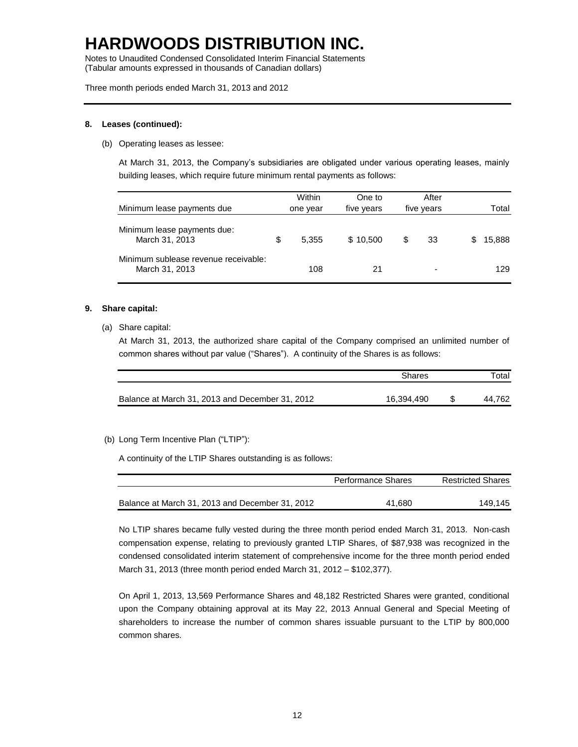Notes to Unaudited Condensed Consolidated Interim Financial Statements (Tabular amounts expressed in thousands of Canadian dollars)

Three month periods ended March 31, 2013 and 2012

### **8. Leases (continued):**

(b) Operating leases as lessee:

At March 31, 2013, the Company's subsidiaries are obligated under various operating leases, mainly building leases, which require future minimum rental payments as follows:

| Minimum lease payments due                             | Within<br>one year | One to<br>five years | After<br>five years |   | Total  |
|--------------------------------------------------------|--------------------|----------------------|---------------------|---|--------|
| Minimum lease payments due:<br>March 31, 2013          | \$<br>5.355        | \$10.500             | 33                  | S | 15,888 |
| Minimum sublease revenue receivable:<br>March 31, 2013 | 108                | 21                   | ٠                   |   | 129.   |

### **9. Share capital:**

(a) Share capital:

At March 31, 2013, the authorized share capital of the Company comprised an unlimited number of common shares without par value ("Shares"). A continuity of the Shares is as follows:

|                                                 | Shares     | Total  |  |
|-------------------------------------------------|------------|--------|--|
| Balance at March 31, 2013 and December 31, 2012 | 16.394.490 | 44.762 |  |

### (b) Long Term Incentive Plan ("LTIP"):

A continuity of the LTIP Shares outstanding is as follows:

|                                                 | Performance Shares | <b>Restricted Shares</b> |  |  |
|-------------------------------------------------|--------------------|--------------------------|--|--|
| Balance at March 31, 2013 and December 31, 2012 | 41.680             | 149.145                  |  |  |

No LTIP shares became fully vested during the three month period ended March 31, 2013. Non-cash compensation expense, relating to previously granted LTIP Shares, of \$87,938 was recognized in the condensed consolidated interim statement of comprehensive income for the three month period ended March 31, 2013 (three month period ended March 31, 2012 – \$102,377).

On April 1, 2013, 13,569 Performance Shares and 48,182 Restricted Shares were granted, conditional upon the Company obtaining approval at its May 22, 2013 Annual General and Special Meeting of shareholders to increase the number of common shares issuable pursuant to the LTIP by 800,000 common shares.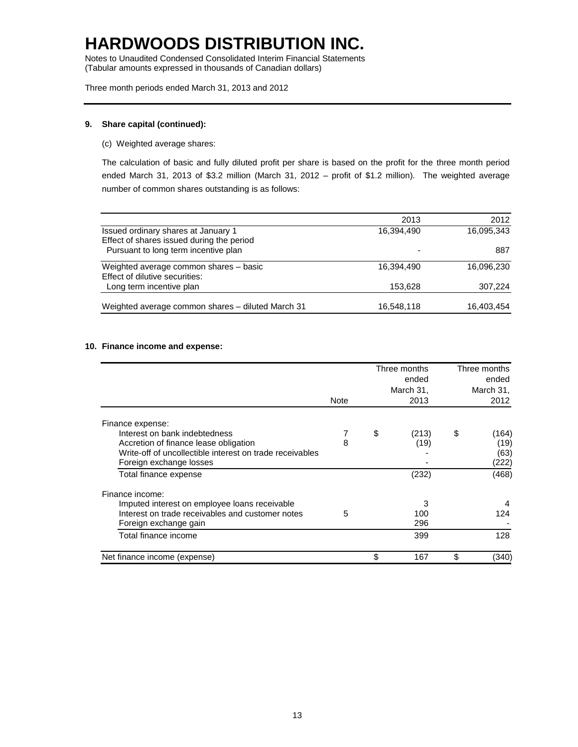Notes to Unaudited Condensed Consolidated Interim Financial Statements (Tabular amounts expressed in thousands of Canadian dollars)

Three month periods ended March 31, 2013 and 2012

### **9. Share capital (continued):**

(c) Weighted average shares:

The calculation of basic and fully diluted profit per share is based on the profit for the three month period ended March 31, 2013 of \$3.2 million (March 31, 2012 – profit of \$1.2 million). The weighted average number of common shares outstanding is as follows:

|                                                   | 2013       | 2012       |
|---------------------------------------------------|------------|------------|
| Issued ordinary shares at January 1               | 16,394,490 | 16.095.343 |
| Effect of shares issued during the period         |            |            |
| Pursuant to long term incentive plan              |            | 887        |
| Weighted average common shares - basic            | 16,394,490 | 16,096,230 |
| Effect of dilutive securities:                    |            |            |
| Long term incentive plan                          | 153.628    | 307,224    |
|                                                   |            |            |
| Weighted average common shares - diluted March 31 | 16,548,118 | 16,403,454 |
|                                                   |            |            |

### **10. Finance income and expense:**

|                                                          |      |           | Three months<br>ended |           | Three months<br>ended |
|----------------------------------------------------------|------|-----------|-----------------------|-----------|-----------------------|
|                                                          |      | March 31, |                       | March 31, |                       |
|                                                          | Note |           | 2013                  |           | 2012                  |
| Finance expense:                                         |      |           |                       |           |                       |
| Interest on bank indebtedness                            |      | \$        | (213)                 | \$        | (164)                 |
| Accretion of finance lease obligation                    | 8    |           | (19)                  |           | (19)                  |
| Write-off of uncollectible interest on trade receivables |      |           |                       |           | (63)                  |
| Foreign exchange losses                                  |      |           |                       |           | (222)                 |
| Total finance expense                                    |      |           | (232)                 |           | (468)                 |
| Finance income:                                          |      |           |                       |           |                       |
| Imputed interest on employee loans receivable            |      |           | 3                     |           |                       |
| Interest on trade receivables and customer notes         | 5    |           | 100                   |           | 124                   |
| Foreign exchange gain                                    |      |           | 296                   |           |                       |
| Total finance income                                     |      |           | 399                   |           | 128                   |
| Net finance income (expense)                             |      | \$        | 167                   | \$        | (340)                 |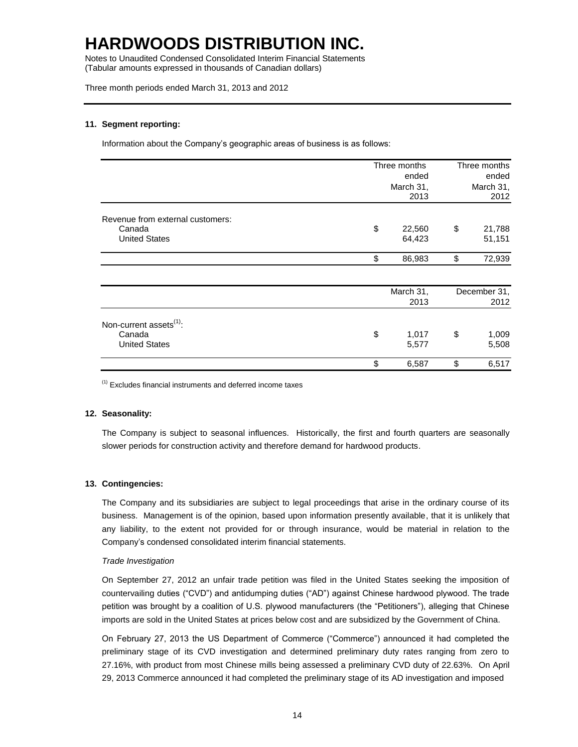Notes to Unaudited Condensed Consolidated Interim Financial Statements (Tabular amounts expressed in thousands of Canadian dollars)

Three month periods ended March 31, 2013 and 2012

#### **11. Segment reporting:**

Information about the Company's geographic areas of business is as follows:

|                                     | Three months | Three months<br>ended |           |  |
|-------------------------------------|--------------|-----------------------|-----------|--|
|                                     | ended        |                       |           |  |
|                                     | March 31,    |                       | March 31, |  |
|                                     | 2013         |                       | 2012      |  |
| Revenue from external customers:    |              |                       |           |  |
| Canada                              | \$<br>22,560 | \$                    | 21,788    |  |
| <b>United States</b>                | 64,423       |                       | 51,151    |  |
|                                     | \$<br>86,983 | \$                    | 72,939    |  |
|                                     |              |                       |           |  |
|                                     | March 31,    | December 31,          |           |  |
|                                     | 2013         |                       | 2012      |  |
| Non-current assets <sup>(1)</sup> : |              |                       |           |  |
| Canada                              | \$<br>1,017  | \$                    | 1,009     |  |
| <b>United States</b>                | 5,577        |                       | 5,508     |  |
|                                     | \$<br>6,587  | \$                    | 6,517     |  |

(1) Excludes financial instruments and deferred income taxes

#### **12. Seasonality:**

The Company is subject to seasonal influences. Historically, the first and fourth quarters are seasonally slower periods for construction activity and therefore demand for hardwood products.

#### **13. Contingencies:**

The Company and its subsidiaries are subject to legal proceedings that arise in the ordinary course of its business. Management is of the opinion, based upon information presently available, that it is unlikely that any liability, to the extent not provided for or through insurance, would be material in relation to the Company's condensed consolidated interim financial statements.

#### *Trade Investigation*

On September 27, 2012 an unfair trade petition was filed in the United States seeking the imposition of countervailing duties ("CVD") and antidumping duties ("AD") against Chinese hardwood plywood. The trade petition was brought by a coalition of U.S. plywood manufacturers (the "Petitioners"), alleging that Chinese imports are sold in the United States at prices below cost and are subsidized by the Government of China.

On February 27, 2013 the US Department of Commerce ("Commerce") announced it had completed the preliminary stage of its CVD investigation and determined preliminary duty rates ranging from zero to 27.16%, with product from most Chinese mills being assessed a preliminary CVD duty of 22.63%. On April 29, 2013 Commerce announced it had completed the preliminary stage of its AD investigation and imposed